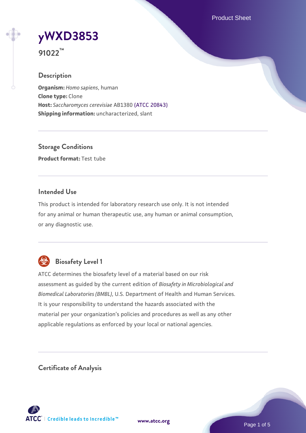Product Sheet

# **[yWXD3853](https://www.atcc.org/products/91022)**

**91022™**

# **Description**

**Organism:** *Homo sapiens*, human **Clone type:** Clone **Host:** *Saccharomyces cerevisiae* AB1380 [\(ATCC 20843\)](https://www.atcc.org/products/20843) **Shipping information:** uncharacterized, slant

**Storage Conditions Product format:** Test tube

## **Intended Use**

This product is intended for laboratory research use only. It is not intended for any animal or human therapeutic use, any human or animal consumption, or any diagnostic use.



# **Biosafety Level 1**

ATCC determines the biosafety level of a material based on our risk assessment as guided by the current edition of *Biosafety in Microbiological and Biomedical Laboratories (BMBL)*, U.S. Department of Health and Human Services. It is your responsibility to understand the hazards associated with the material per your organization's policies and procedures as well as any other applicable regulations as enforced by your local or national agencies.

**Certificate of Analysis**

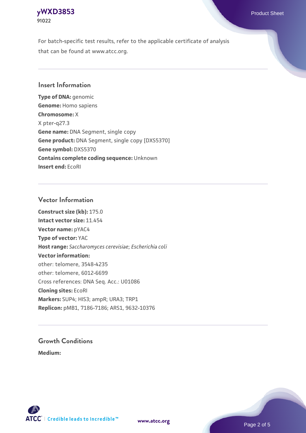#### **[yWXD3853](https://www.atcc.org/products/91022)** Product Sheet **91022**

For batch-specific test results, refer to the applicable certificate of analysis that can be found at www.atcc.org.

## **Insert Information**

**Type of DNA:** genomic **Genome:** Homo sapiens **Chromosome:** X X pter-q27.3 **Gene name:** DNA Segment, single copy **Gene product:** DNA Segment, single copy [DXS5370] **Gene symbol:** DXS5370 **Contains complete coding sequence:** Unknown **Insert end:** EcoRI

#### **Vector Information**

**Construct size (kb):** 175.0 **Intact vector size:** 11.454 **Vector name:** pYAC4 **Type of vector:** YAC **Host range:** *Saccharomyces cerevisiae*; *Escherichia coli* **Vector information:** other: telomere, 3548-4235 other: telomere, 6012-6699 Cross references: DNA Seq. Acc.: U01086 **Cloning sites:** EcoRI **Markers:** SUP4; HIS3; ampR; URA3; TRP1 **Replicon:** pMB1, 7186-7186; ARS1, 9632-10376

# **Growth Conditions**

**Medium:** 



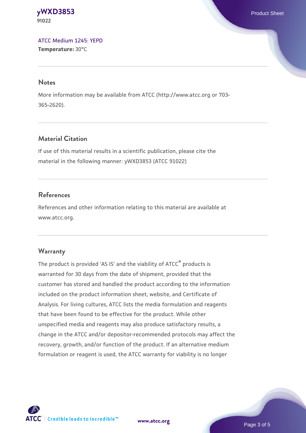#### **[yWXD3853](https://www.atcc.org/products/91022)** Product Sheet **91022**

[ATCC Medium 1245: YEPD](https://www.atcc.org/-/media/product-assets/documents/microbial-media-formulations/1/2/4/5/atcc-medium-1245.pdf?rev=705ca55d1b6f490a808a965d5c072196) **Temperature:** 30°C

#### **Notes**

More information may be available from ATCC (http://www.atcc.org or 703- 365-2620).

# **Material Citation**

If use of this material results in a scientific publication, please cite the material in the following manner: yWXD3853 (ATCC 91022)

# **References**

References and other information relating to this material are available at www.atcc.org.

# **Warranty**

The product is provided 'AS IS' and the viability of ATCC® products is warranted for 30 days from the date of shipment, provided that the customer has stored and handled the product according to the information included on the product information sheet, website, and Certificate of Analysis. For living cultures, ATCC lists the media formulation and reagents that have been found to be effective for the product. While other unspecified media and reagents may also produce satisfactory results, a change in the ATCC and/or depositor-recommended protocols may affect the recovery, growth, and/or function of the product. If an alternative medium formulation or reagent is used, the ATCC warranty for viability is no longer



**[www.atcc.org](http://www.atcc.org)**

Page 3 of 5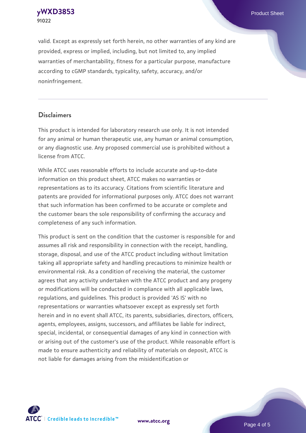**[yWXD3853](https://www.atcc.org/products/91022)** Product Sheet **91022**

valid. Except as expressly set forth herein, no other warranties of any kind are provided, express or implied, including, but not limited to, any implied warranties of merchantability, fitness for a particular purpose, manufacture according to cGMP standards, typicality, safety, accuracy, and/or noninfringement.

#### **Disclaimers**

This product is intended for laboratory research use only. It is not intended for any animal or human therapeutic use, any human or animal consumption, or any diagnostic use. Any proposed commercial use is prohibited without a license from ATCC.

While ATCC uses reasonable efforts to include accurate and up-to-date information on this product sheet, ATCC makes no warranties or representations as to its accuracy. Citations from scientific literature and patents are provided for informational purposes only. ATCC does not warrant that such information has been confirmed to be accurate or complete and the customer bears the sole responsibility of confirming the accuracy and completeness of any such information.

This product is sent on the condition that the customer is responsible for and assumes all risk and responsibility in connection with the receipt, handling, storage, disposal, and use of the ATCC product including without limitation taking all appropriate safety and handling precautions to minimize health or environmental risk. As a condition of receiving the material, the customer agrees that any activity undertaken with the ATCC product and any progeny or modifications will be conducted in compliance with all applicable laws, regulations, and guidelines. This product is provided 'AS IS' with no representations or warranties whatsoever except as expressly set forth herein and in no event shall ATCC, its parents, subsidiaries, directors, officers, agents, employees, assigns, successors, and affiliates be liable for indirect, special, incidental, or consequential damages of any kind in connection with or arising out of the customer's use of the product. While reasonable effort is made to ensure authenticity and reliability of materials on deposit, ATCC is not liable for damages arising from the misidentification or



**[www.atcc.org](http://www.atcc.org)**

Page 4 of 5